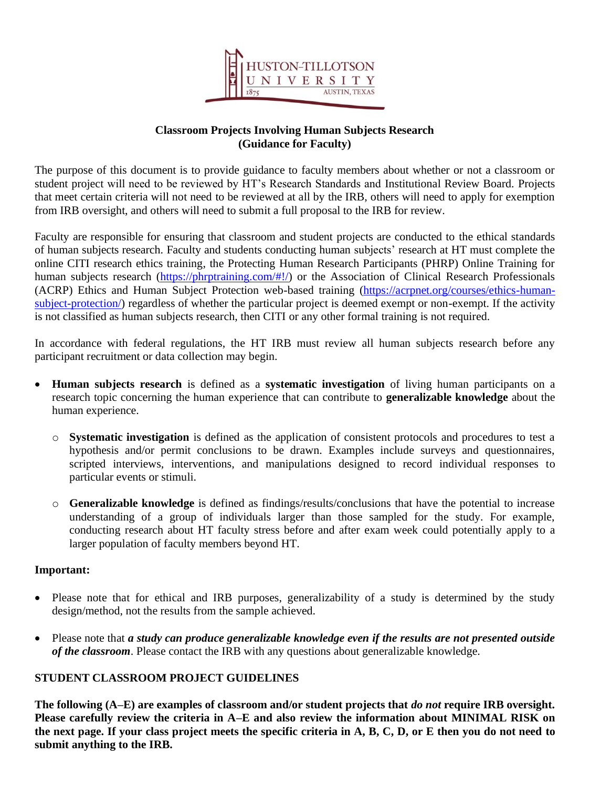

# **Classroom Projects Involving Human Subjects Research (Guidance for Faculty)**

The purpose of this document is to provide guidance to faculty members about whether or not a classroom or student project will need to be reviewed by HT's Research Standards and Institutional Review Board. Projects that meet certain criteria will not need to be reviewed at all by the IRB, others will need to apply for exemption from IRB oversight, and others will need to submit a full proposal to the IRB for review.

Faculty are responsible for ensuring that classroom and student projects are conducted to the ethical standards of human subjects research. Faculty and students conducting human subjects' research at HT must complete the online CITI research ethics training, the Protecting Human Research Participants (PHRP) Online Training for human subjects research [\(https://phrptraining.com/#!/\)](https://phrptraining.com/#!/) or the Association of Clinical Research Professionals (ACRP) Ethics and Human Subject Protection web-based training [\(https://acrpnet.org/courses/ethics-human](https://acrpnet.org/courses/ethics-human-subject-protection/)[subject-protection/\)](https://acrpnet.org/courses/ethics-human-subject-protection/) regardless of whether the particular project is deemed exempt or non-exempt. If the activity is not classified as human subjects research, then CITI or any other formal training is not required.

In accordance with federal regulations, the HT IRB must review all human subjects research before any participant recruitment or data collection may begin.

- **Human subjects research** is defined as a **systematic investigation** of living human participants on a research topic concerning the human experience that can contribute to **generalizable knowledge** about the human experience.
	- o **Systematic investigation** is defined as the application of consistent protocols and procedures to test a hypothesis and/or permit conclusions to be drawn. Examples include surveys and questionnaires, scripted interviews, interventions, and manipulations designed to record individual responses to particular events or stimuli.
	- o **Generalizable knowledge** is defined as findings/results/conclusions that have the potential to increase understanding of a group of individuals larger than those sampled for the study. For example, conducting research about HT faculty stress before and after exam week could potentially apply to a larger population of faculty members beyond HT.

### **Important:**

- Please note that for ethical and IRB purposes, generalizability of a study is determined by the study design/method, not the results from the sample achieved.
- Please note that *a study can produce generalizable knowledge even if the results are not presented outside of the classroom*. Please contact the IRB with any questions about generalizable knowledge.

# **STUDENT CLASSROOM PROJECT GUIDELINES**

**The following (A–E) are examples of classroom and/or student projects that** *do not* **require IRB oversight. Please carefully review the criteria in A–E and also review the information about MINIMAL RISK on the next page. If your class project meets the specific criteria in A, B, C, D, or E then you do not need to submit anything to the IRB.**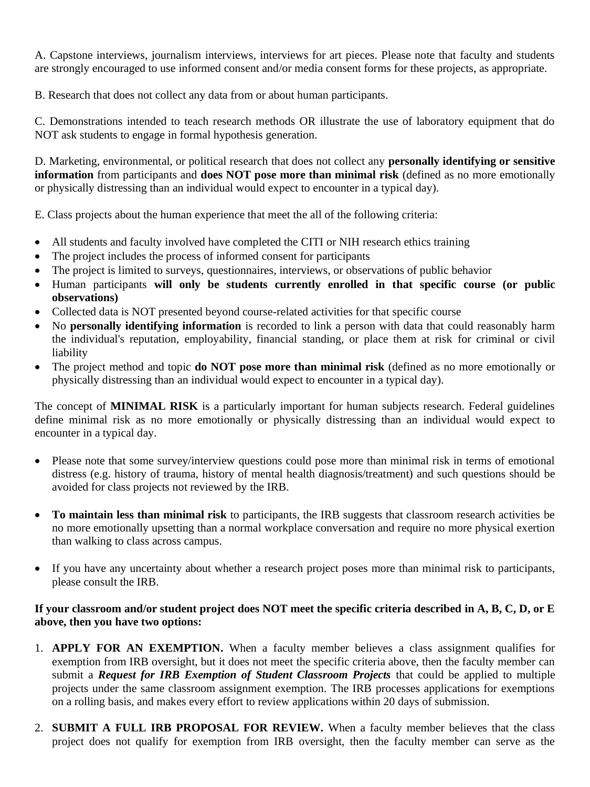A. Capstone interviews, journalism interviews, interviews for art pieces. Please note that faculty and students are strongly encouraged to use informed consent and/or media consent forms for these projects, as appropriate.

B. Research that does not collect any data from or about human participants.

C. Demonstrations intended to teach research methods OR illustrate the use of laboratory equipment that do NOT ask students to engage in formal hypothesis generation.

D. Marketing, environmental, or political research that does not collect any **personally identifying or sensitive information** from participants and **does NOT pose more than minimal risk** (defined as no more emotionally or physically distressing than an individual would expect to encounter in a typical day).

E. Class projects about the human experience that meet the all of the following criteria:

- All students and faculty involved have completed the CITI or NIH research ethics training
- The project includes the process of informed consent for participants
- The project is limited to surveys, questionnaires, interviews, or observations of public behavior
- Human participants **will only be students currently enrolled in that specific course (or public observations)**
- Collected data is NOT presented beyond course-related activities for that specific course
- No **personally identifying information** is recorded to link a person with data that could reasonably harm the individual's reputation, employability, financial standing, or place them at risk for criminal or civil liability
- The project method and topic **do NOT pose more than minimal risk** (defined as no more emotionally or physically distressing than an individual would expect to encounter in a typical day).

The concept of **MINIMAL RISK** is a particularly important for human subjects research. Federal guidelines define minimal risk as no more emotionally or physically distressing than an individual would expect to encounter in a typical day.

- Please note that some survey/interview questions could pose more than minimal risk in terms of emotional distress (e.g. history of trauma, history of mental health diagnosis/treatment) and such questions should be avoided for class projects not reviewed by the IRB.
- **To maintain less than minimal risk** to participants, the IRB suggests that classroom research activities be no more emotionally upsetting than a normal workplace conversation and require no more physical exertion than walking to class across campus.
- If you have any uncertainty about whether a research project poses more than minimal risk to participants, please consult the IRB.

## **If your classroom and/or student project does NOT meet the specific criteria described in A, B, C, D, or E above, then you have two options:**

- 1. **APPLY FOR AN EXEMPTION.** When a faculty member believes a class assignment qualifies for exemption from IRB oversight, but it does not meet the specific criteria above, then the faculty member can submit a *Request for IRB Exemption of Student Classroom Projects* that could be applied to multiple projects under the same classroom assignment exemption. The IRB processes applications for exemptions on a rolling basis, and makes every effort to review applications within 20 days of submission.
- 2. **SUBMIT A FULL IRB PROPOSAL FOR REVIEW.** When a faculty member believes that the class project does not qualify for exemption from IRB oversight, then the faculty member can serve as the